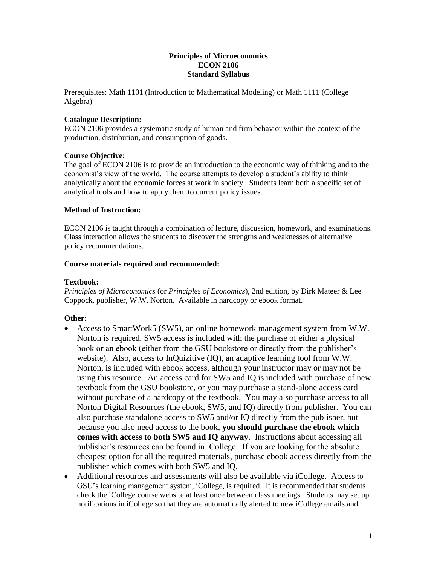#### **Principles of Microeconomics ECON 2106 Standard Syllabus**

Prerequisites: Math 1101 (Introduction to Mathematical Modeling) or Math 1111 (College Algebra)

#### **Catalogue Description:**

ECON 2106 provides a systematic study of human and firm behavior within the context of the production, distribution, and consumption of goods.

#### **Course Objective:**

The goal of ECON 2106 is to provide an introduction to the economic way of thinking and to the economist's view of the world. The course attempts to develop a student's ability to think analytically about the economic forces at work in society. Students learn both a specific set of analytical tools and how to apply them to current policy issues.

#### **Method of Instruction:**

ECON 2106 is taught through a combination of lecture, discussion, homework, and examinations. Class interaction allows the students to discover the strengths and weaknesses of alternative policy recommendations.

#### **Course materials required and recommended:**

#### **Textbook:**

*Principles of Microconomics* (or *Principles of Economics*), 2nd edition, by Dirk Mateer & Lee Coppock, publisher, W.W. Norton. Available in hardcopy or ebook format.

## **Other:**

- Access to SmartWork5 (SW5), an online homework management system from W.W. Norton is required. SW5 access is included with the purchase of either a physical book or an ebook (either from the GSU bookstore or directly from the publisher's website). Also, access to InQuizitive (IQ), an adaptive learning tool from W.W. Norton, is included with ebook access, although your instructor may or may not be using this resource. An access card for SW5 and IQ is included with purchase of new textbook from the GSU bookstore, or you may purchase a stand-alone access card without purchase of a hardcopy of the textbook. You may also purchase access to all Norton Digital Resources (the ebook, SW5, and IQ) directly from publisher. You can also purchase standalone access to SW5 and/or IQ directly from the publisher, but because you also need access to the book, **you should purchase the ebook which comes with access to both SW5 and IQ anyway**. Instructions about accessing all publisher's resources can be found in iCollege. If you are looking for the absolute cheapest option for all the required materials, purchase ebook access directly from the publisher which comes with both SW5 and IQ.
- Additional resources and assessments will also be available via iCollege. Access to GSU's learning management system, iCollege, is required. It is recommended that students check the iCollege course website at least once between class meetings. Students may set up notifications in iCollege so that they are automatically alerted to new iCollege emails and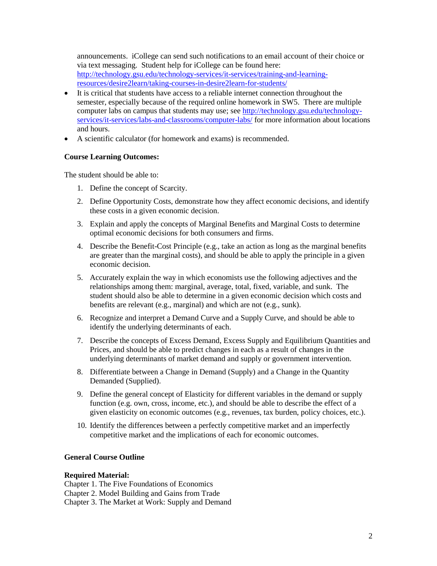announcements. iCollege can send such notifications to an email account of their choice or via text messaging. Student help for iCollege can be found here: [http://technology.gsu.edu/technology-services/it-services/training-and-learning](http://technology.gsu.edu/technology-services/it-services/training-and-learning-resources/desire2learn/taking-courses-in-desire2learn-for-students/)[resources/desire2learn/taking-courses-in-desire2learn-for-students/](http://technology.gsu.edu/technology-services/it-services/training-and-learning-resources/desire2learn/taking-courses-in-desire2learn-for-students/)

- It is critical that students have access to a reliable internet connection throughout the semester, especially because of the required online homework in SW5. There are multiple computer labs on campus that students may use; see [http://technology.gsu.edu/technology](http://technology.gsu.edu/technology-services/it-services/labs-and-classrooms/computer-labs/)[services/it-services/labs-and-classrooms/computer-labs/](http://technology.gsu.edu/technology-services/it-services/labs-and-classrooms/computer-labs/) for more information about locations and hours.
- A scientific calculator (for homework and exams) is recommended.

## **Course Learning Outcomes:**

The student should be able to:

- 1. Define the concept of Scarcity.
- 2. Define Opportunity Costs, demonstrate how they affect economic decisions, and identify these costs in a given economic decision.
- 3. Explain and apply the concepts of Marginal Benefits and Marginal Costs to determine optimal economic decisions for both consumers and firms.
- 4. Describe the Benefit-Cost Principle (e.g., take an action as long as the marginal benefits are greater than the marginal costs), and should be able to apply the principle in a given economic decision.
- 5. Accurately explain the way in which economists use the following adjectives and the relationships among them: marginal, average, total, fixed, variable, and sunk. The student should also be able to determine in a given economic decision which costs and benefits are relevant (e.g., marginal) and which are not (e.g., sunk).
- 6. Recognize and interpret a Demand Curve and a Supply Curve, and should be able to identify the underlying determinants of each.
- 7. Describe the concepts of Excess Demand, Excess Supply and Equilibrium Quantities and Prices, and should be able to predict changes in each as a result of changes in the underlying determinants of market demand and supply or government intervention.
- 8. Differentiate between a Change in Demand (Supply) and a Change in the Quantity Demanded (Supplied).
- 9. Define the general concept of Elasticity for different variables in the demand or supply function (e.g. own, cross, income, etc.), and should be able to describe the effect of a given elasticity on economic outcomes (e.g., revenues, tax burden, policy choices, etc.).
- 10. Identify the differences between a perfectly competitive market and an imperfectly competitive market and the implications of each for economic outcomes.

## **General Course Outline**

## **Required Material:**

Chapter 1. The Five Foundations of Economics

Chapter 2. Model Building and Gains from Trade

Chapter 3. The Market at Work: Supply and Demand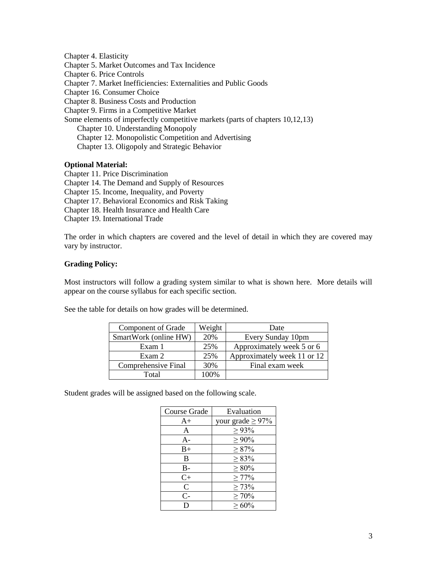Chapter 4. Elasticity Chapter 5. Market Outcomes and Tax Incidence Chapter 6. Price Controls Chapter 7. Market Inefficiencies: Externalities and Public Goods Chapter 16. Consumer Choice Chapter 8. Business Costs and Production Chapter 9. Firms in a Competitive Market Some elements of imperfectly competitive markets (parts of chapters 10,12,13) Chapter 10. Understanding Monopoly Chapter 12. Monopolistic Competition and Advertising Chapter 13. Oligopoly and Strategic Behavior

## **Optional Material:**

Chapter 11. Price Discrimination Chapter 14. The Demand and Supply of Resources Chapter 15. Income, Inequality, and Poverty Chapter 17. Behavioral Economics and Risk Taking Chapter 18. Health Insurance and Health Care Chapter 19. International Trade

The order in which chapters are covered and the level of detail in which they are covered may vary by instructor.

# **Grading Policy:**

Most instructors will follow a grading system similar to what is shown here. More details will appear on the course syllabus for each specific section.

See the table for details on how grades will be determined.

| Component of Grade    | Weight | Date                        |
|-----------------------|--------|-----------------------------|
| SmartWork (online HW) | 20%    | Every Sunday 10pm           |
| Exam 1                | 25%    | Approximately week 5 or 6   |
| Exam 2                | 25%    | Approximately week 11 or 12 |
| Comprehensive Final   | 30%    | Final exam week             |
| Total                 | 100%   |                             |

Student grades will be assigned based on the following scale.

| Course Grade | Evaluation             |
|--------------|------------------------|
| $A+$         | your grade $\geq 97\%$ |
| A            | $\geq 93\%$            |
| $A-$         | $\geq 90\%$            |
| $B+$         | $\geq 87\%$            |
| B            | $\geq 83\%$            |
| $B-$         | $\geq 80\%$            |
| $C+$         | $\geq 77\%$            |
| $\mathsf{C}$ | $\geq 73\%$            |
| $C-$         | $\geq 70\%$            |
| D            | $\geq 60\%$            |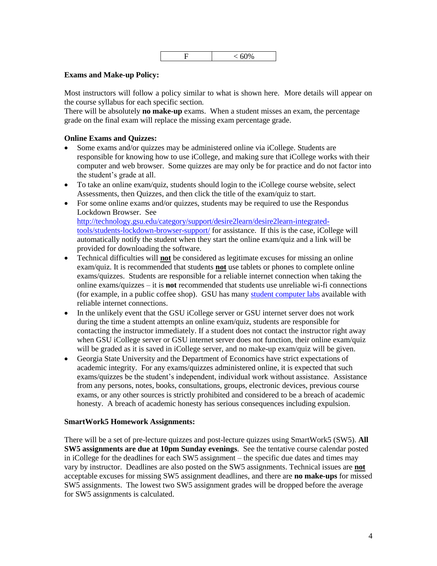$$
\boxed{\qquad \qquad F\qquad \qquad <60\%}
$$

## **Exams and Make-up Policy:**

Most instructors will follow a policy similar to what is shown here. More details will appear on the course syllabus for each specific section.

There will be absolutely **no make-up** exams. When a student misses an exam, the percentage grade on the final exam will replace the missing exam percentage grade.

## **Online Exams and Quizzes:**

- Some exams and/or quizzes may be administered online via iCollege. Students are responsible for knowing how to use iCollege, and making sure that iCollege works with their computer and web browser. Some quizzes are may only be for practice and do not factor into the student's grade at all.
- To take an online exam/quiz, students should login to the iCollege course website, select Assessments, then Quizzes, and then click the title of the exam/quiz to start.
- For some online exams and/or quizzes, students may be required to use the Respondus Lockdown Browser. See [http://technology.gsu.edu/category/support/desire2learn/desire2learn-integrated](http://technology.gsu.edu/category/support/desire2learn/desire2learn-integrated-tools/students-lockdown-browser-support/)[tools/students-lockdown-browser-support/](http://technology.gsu.edu/category/support/desire2learn/desire2learn-integrated-tools/students-lockdown-browser-support/) for assistance. If this is the case, iCollege will automatically notify the student when they start the online exam/quiz and a link will be provided for downloading the software.
- Technical difficulties will **not** be considered as legitimate excuses for missing an online exam/quiz. It is recommended that students **not** use tablets or phones to complete online exams/quizzes. Students are responsible for a reliable internet connection when taking the online exams/quizzes – it is **not** recommended that students use unreliable wi-fi connections (for example, in a public coffee shop). GSU has many [student computer labs](http://technology.gsu.edu/technology-services/it-services/labs-and-classrooms/computer-labs/) available with reliable internet connections.
- In the unlikely event that the GSU iCollege server or GSU internet server does not work during the time a student attempts an online exam/quiz, students are responsible for contacting the instructor immediately. If a student does not contact the instructor right away when GSU iCollege server or GSU internet server does not function, their online exam/quiz will be graded as it is saved in iCollege server, and no make-up exam/quiz will be given.
- Georgia State University and the Department of Economics have strict expectations of academic integrity. For any exams/quizzes administered online, it is expected that such exams/quizzes be the student's independent, individual work without assistance. Assistance from any persons, notes, books, consultations, groups, electronic devices, previous course exams, or any other sources is strictly prohibited and considered to be a breach of academic honesty. A breach of academic honesty has serious consequences including expulsion.

## **SmartWork5 Homework Assignments:**

There will be a set of pre-lecture quizzes and post-lecture quizzes using SmartWork5 (SW5). **All SW5 assignments are due at 10pm Sunday evenings**. See the tentative course calendar posted in iCollege for the deadlines for each SW5 assignment – the specific due dates and times may vary by instructor. Deadlines are also posted on the SW5 assignments. Technical issues are **not** acceptable excuses for missing SW5 assignment deadlines, and there are **no make-ups** for missed SW5 assignments. The lowest two SW5 assignment grades will be dropped before the average for SW5 assignments is calculated.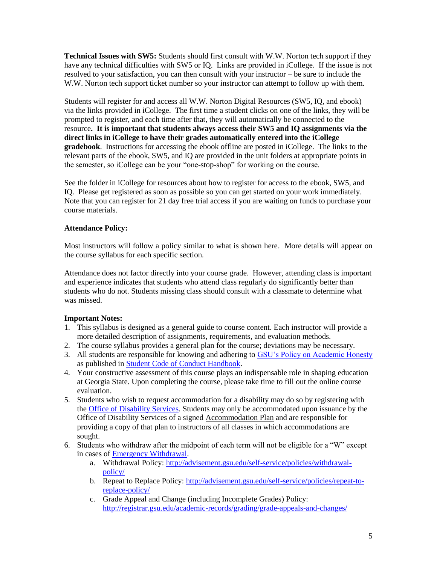**Technical Issues with SW5:** Students should first consult with W.W. Norton tech support if they have any technical difficulties with SW5 or IQ. Links are provided in iCollege. If the issue is not resolved to your satisfaction, you can then consult with your instructor – be sure to include the W.W. Norton tech support ticket number so your instructor can attempt to follow up with them.

Students will register for and access all W.W. Norton Digital Resources (SW5, IQ, and ebook) via the links provided in iCollege. The first time a student clicks on one of the links, they will be prompted to register, and each time after that, they will automatically be connected to the resource**. It is important that students always access their SW5 and IQ assignments via the direct links in iCollege to have their grades automatically entered into the iCollege gradebook**. Instructions for accessing the ebook offline are posted in iCollege. The links to the relevant parts of the ebook, SW5, and IQ are provided in the unit folders at appropriate points in the semester, so iCollege can be your "one-stop-shop" for working on the course.

See the folder in iCollege for resources about how to register for access to the ebook, SW5, and IQ. Please get registered as soon as possible so you can get started on your work immediately. Note that you can register for 21 day free trial access if you are waiting on funds to purchase your course materials.

# **Attendance Policy:**

Most instructors will follow a policy similar to what is shown here. More details will appear on the course syllabus for each specific section.

Attendance does not factor directly into your course grade. However, attending class is important and experience indicates that students who attend class regularly do significantly better than students who do not. Students missing class should consult with a classmate to determine what was missed.

## **Important Notes:**

- 1. This syllabus is designed as a general guide to course content. Each instructor will provide a more detailed description of assignments, requirements, and evaluation methods.
- 2. The course syllabus provides a general plan for the course; deviations may be necessary.
- 3. All students are responsible for knowing and adhering to [GSU's Policy on Academic Honesty](http://deanofstudents.gsu.edu/student-conductpolicy-on-academic-honesty/) as published i[n Student Code of Conduct Handbook.](http://codeofconduct.gsu.edu/)
- 4. Your constructive assessment of this course plays an indispensable role in shaping education at Georgia State. Upon completing the course, please take time to fill out the online course evaluation.
- 5. Students who wish to request accommodation for a disability may do so by registering with the [Office of Disability Services.](http://disability.gsu.edu/) Students may only be accommodated upon issuance by the Office of Disability Services of a signed Accommodation Plan and are responsible for providing a copy of that plan to instructors of all classes in which accommodations are sought.
- 6. Students who withdraw after the midpoint of each term will not be eligible for a "W" except in cases of [Emergency Withdrawal.](http://deanofstudents.gsu.edu/student-assistance/emergency-withdrawal/)
	- a. Withdrawal Policy: [http://advisement.gsu.edu/self-service/policies/withdrawal](http://advisement.gsu.edu/self-service/policies/withdrawal-policy/)[policy/](http://advisement.gsu.edu/self-service/policies/withdrawal-policy/)
	- b. Repeat to Replace Policy: [http://advisement.gsu.edu/self-service/policies/repeat-to](http://advisement.gsu.edu/self-service/policies/repeat-to-replace-policy/)[replace-policy/](http://advisement.gsu.edu/self-service/policies/repeat-to-replace-policy/)
	- c. Grade Appeal and Change (including Incomplete Grades) Policy: <http://registrar.gsu.edu/academic-records/grading/grade-appeals-and-changes/>